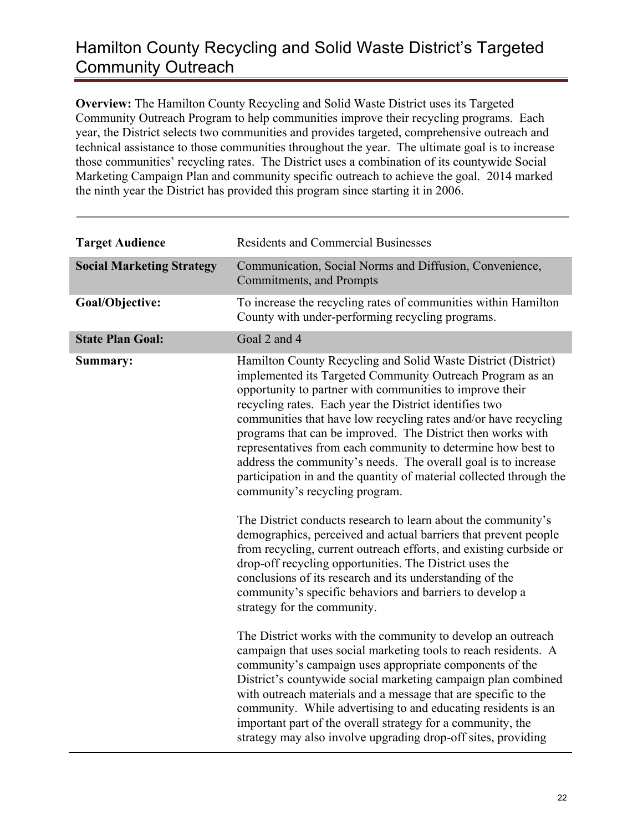**Overview:** The Hamilton County Recycling and Solid Waste District uses its Targeted Community Outreach Program to help communities improve their recycling programs. Each year, the District selects two communities and provides targeted, comprehensive outreach and technical assistance to those communities throughout the year. The ultimate goal is to increase those communities' recycling rates. The District uses a combination of its countywide Social Marketing Campaign Plan and community specific outreach to achieve the goal. 2014 marked the ninth year the District has provided this program since starting it in 2006.

| <b>Target Audience</b>           | <b>Residents and Commercial Businesses</b>                                                                                                                                                                                                                                                                                                                                                                                                                                                                                                                                                                                    |
|----------------------------------|-------------------------------------------------------------------------------------------------------------------------------------------------------------------------------------------------------------------------------------------------------------------------------------------------------------------------------------------------------------------------------------------------------------------------------------------------------------------------------------------------------------------------------------------------------------------------------------------------------------------------------|
| <b>Social Marketing Strategy</b> | Communication, Social Norms and Diffusion, Convenience,<br>Commitments, and Prompts                                                                                                                                                                                                                                                                                                                                                                                                                                                                                                                                           |
| Goal/Objective:                  | To increase the recycling rates of communities within Hamilton<br>County with under-performing recycling programs.                                                                                                                                                                                                                                                                                                                                                                                                                                                                                                            |
| <b>State Plan Goal:</b>          | Goal 2 and 4                                                                                                                                                                                                                                                                                                                                                                                                                                                                                                                                                                                                                  |
| Summary:                         | Hamilton County Recycling and Solid Waste District (District)<br>implemented its Targeted Community Outreach Program as an<br>opportunity to partner with communities to improve their<br>recycling rates. Each year the District identifies two<br>communities that have low recycling rates and/or have recycling<br>programs that can be improved. The District then works with<br>representatives from each community to determine how best to<br>address the community's needs. The overall goal is to increase<br>participation in and the quantity of material collected through the<br>community's recycling program. |
|                                  | The District conducts research to learn about the community's<br>demographics, perceived and actual barriers that prevent people<br>from recycling, current outreach efforts, and existing curbside or<br>drop-off recycling opportunities. The District uses the<br>conclusions of its research and its understanding of the<br>community's specific behaviors and barriers to develop a<br>strategy for the community.                                                                                                                                                                                                      |
|                                  | The District works with the community to develop an outreach<br>campaign that uses social marketing tools to reach residents. A<br>community's campaign uses appropriate components of the<br>District's countywide social marketing campaign plan combined<br>with outreach materials and a message that are specific to the<br>community. While advertising to and educating residents is an<br>important part of the overall strategy for a community, the<br>strategy may also involve upgrading drop-off sites, providing                                                                                                |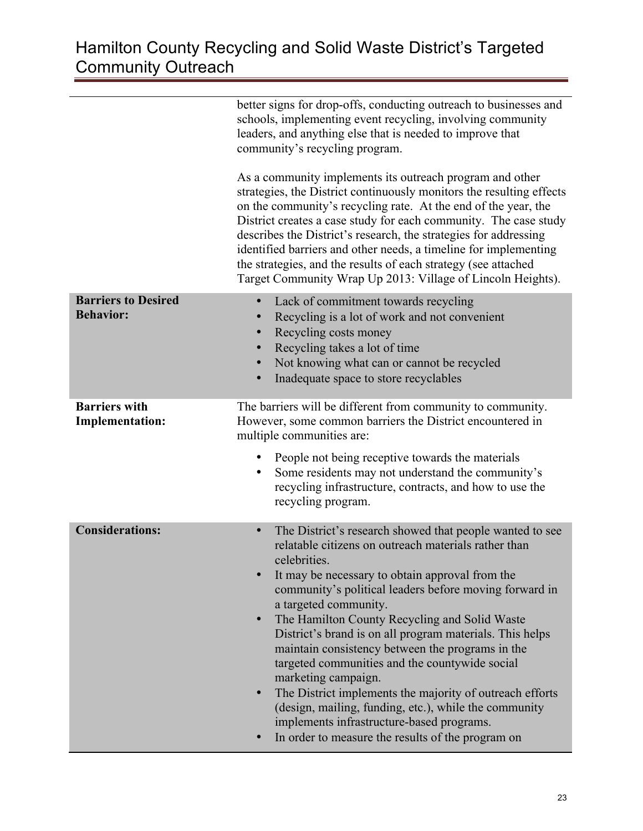|                                                | better signs for drop-offs, conducting outreach to businesses and<br>schools, implementing event recycling, involving community<br>leaders, and anything else that is needed to improve that<br>community's recycling program.<br>As a community implements its outreach program and other<br>strategies, the District continuously monitors the resulting effects<br>on the community's recycling rate. At the end of the year, the<br>District creates a case study for each community. The case study<br>describes the District's research, the strategies for addressing<br>identified barriers and other needs, a timeline for implementing<br>the strategies, and the results of each strategy (see attached<br>Target Community Wrap Up 2013: Village of Lincoln Heights). |
|------------------------------------------------|-----------------------------------------------------------------------------------------------------------------------------------------------------------------------------------------------------------------------------------------------------------------------------------------------------------------------------------------------------------------------------------------------------------------------------------------------------------------------------------------------------------------------------------------------------------------------------------------------------------------------------------------------------------------------------------------------------------------------------------------------------------------------------------|
| <b>Barriers to Desired</b><br><b>Behavior:</b> | Lack of commitment towards recycling<br>$\bullet$<br>Recycling is a lot of work and not convenient<br>Recycling costs money<br>Recycling takes a lot of time<br>$\bullet$<br>Not knowing what can or cannot be recycled<br>$\bullet$<br>Inadequate space to store recyclables<br>$\bullet$                                                                                                                                                                                                                                                                                                                                                                                                                                                                                        |
| <b>Barriers with</b><br><b>Implementation:</b> | The barriers will be different from community to community.<br>However, some common barriers the District encountered in<br>multiple communities are:<br>People not being receptive towards the materials<br>٠<br>Some residents may not understand the community's<br>recycling infrastructure, contracts, and how to use the<br>recycling program.                                                                                                                                                                                                                                                                                                                                                                                                                              |
| <b>Considerations:</b>                         | The District's research showed that people wanted to see<br>$\bullet$<br>relatable citizens on outreach materials rather than<br>celebrities.<br>It may be necessary to obtain approval from the<br>community's political leaders before moving forward in<br>a targeted community.<br>The Hamilton County Recycling and Solid Waste<br>$\bullet$<br>District's brand is on all program materials. This helps<br>maintain consistency between the programs in the<br>targeted communities and the countywide social<br>marketing campaign.<br>The District implements the majority of outreach efforts<br>(design, mailing, funding, etc.), while the community<br>implements infrastructure-based programs.<br>In order to measure the results of the program on                 |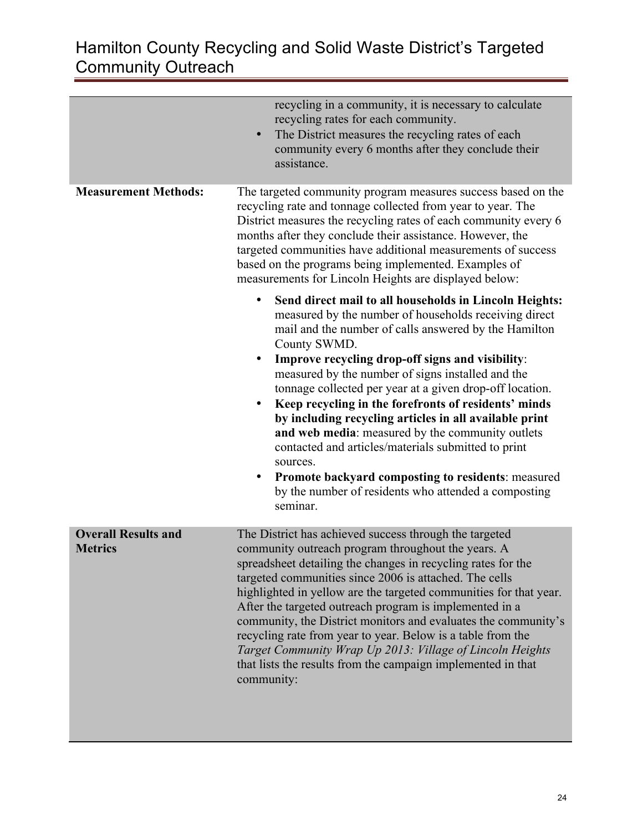|                                              | recycling in a community, it is necessary to calculate<br>recycling rates for each community.<br>The District measures the recycling rates of each<br>$\bullet$<br>community every 6 months after they conclude their<br>assistance.                                                                                                                                                                                                                                                                                                                                                                                                                                                                                                                      |
|----------------------------------------------|-----------------------------------------------------------------------------------------------------------------------------------------------------------------------------------------------------------------------------------------------------------------------------------------------------------------------------------------------------------------------------------------------------------------------------------------------------------------------------------------------------------------------------------------------------------------------------------------------------------------------------------------------------------------------------------------------------------------------------------------------------------|
| <b>Measurement Methods:</b>                  | The targeted community program measures success based on the<br>recycling rate and tonnage collected from year to year. The<br>District measures the recycling rates of each community every 6<br>months after they conclude their assistance. However, the<br>targeted communities have additional measurements of success<br>based on the programs being implemented. Examples of<br>measurements for Lincoln Heights are displayed below:                                                                                                                                                                                                                                                                                                              |
|                                              | Send direct mail to all households in Lincoln Heights:<br>$\bullet$<br>measured by the number of households receiving direct<br>mail and the number of calls answered by the Hamilton<br>County SWMD.<br>Improve recycling drop-off signs and visibility:<br>measured by the number of signs installed and the<br>tonnage collected per year at a given drop-off location.<br>Keep recycling in the forefronts of residents' minds<br>by including recycling articles in all available print<br>and web media: measured by the community outlets<br>contacted and articles/materials submitted to print<br>sources.<br><b>Promote backyard composting to residents: measured</b><br>٠<br>by the number of residents who attended a composting<br>seminar. |
| <b>Overall Results and</b><br><b>Metrics</b> | The District has achieved success through the targeted<br>community outreach program throughout the years. A<br>spreadsheet detailing the changes in recycling rates for the<br>targeted communities since 2006 is attached. The cells<br>highlighted in yellow are the targeted communities for that year.<br>After the targeted outreach program is implemented in a<br>community, the District monitors and evaluates the community's<br>recycling rate from year to year. Below is a table from the<br>Target Community Wrap Up 2013: Village of Lincoln Heights<br>that lists the results from the campaign implemented in that<br>community:                                                                                                        |